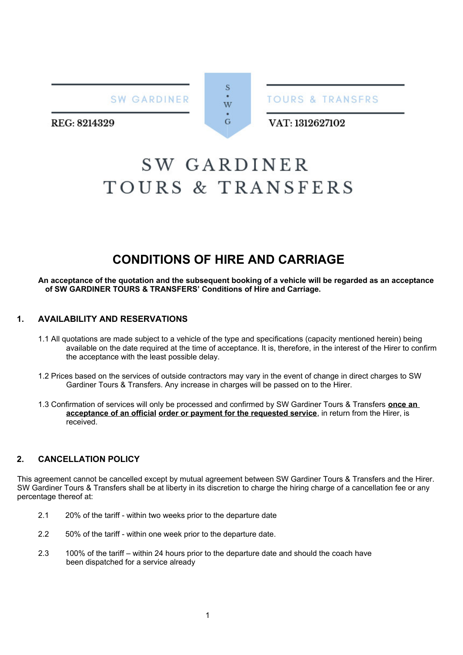SW GARDINER

S W  $\overline{G}$ 

**TOURS & TRANSFRS** 

REG: 8214329

# VAT: 1312627102

# **SW GARDINER** TOURS & TRANSFERS

# **CONDITIONS OF HIRE AND CARRIAGE**

**An acceptance of the quotation and the subsequent booking of a vehicle will be regarded as an acceptance of SW GARDINER TOURS & TRANSFERS' Conditions of Hire and Carriage.**

# **1. AVAILABILITY AND RESERVATIONS**

- 1.1 All quotations are made subject to a vehicle of the type and specifications (capacity mentioned herein) being available on the date required at the time of acceptance. It is, therefore, in the interest of the Hirer to confirm the acceptance with the least possible delay.
- 1.2 Prices based on the services of outside contractors may vary in the event of change in direct charges to SW Gardiner Tours & Transfers. Any increase in charges will be passed on to the Hirer.
- 1.3 Confirmation of services will only be processed and confirmed by SW Gardiner Tours & Transfers **once an acceptance of an official order or payment for the requested service**, in return from the Hirer, is received.

# **2. CANCELLATION POLICY**

This agreement cannot be cancelled except by mutual agreement between SW Gardiner Tours & Transfers and the Hirer. SW Gardiner Tours & Transfers shall be at liberty in its discretion to charge the hiring charge of a cancellation fee or any percentage thereof at:

- 2.1 20% of the tariff within two weeks prior to the departure date
- 2.2 50% of the tariff within one week prior to the departure date.
- 2.3 100% of the tariff within 24 hours prior to the departure date and should the coach have been dispatched for a service already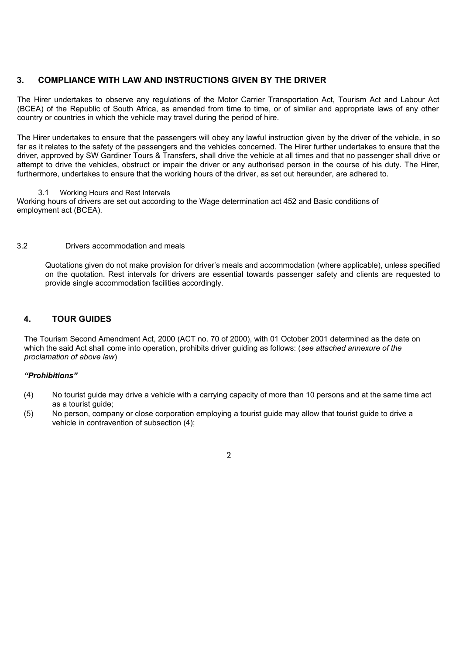# **3. COMPLIANCE WITH LAW AND INSTRUCTIONS GIVEN BY THE DRIVER**

The Hirer undertakes to observe any regulations of the Motor Carrier Transportation Act, Tourism Act and Labour Act (BCEA) of the Republic of South Africa, as amended from time to time, or of similar and appropriate laws of any other country or countries in which the vehicle may travel during the period of hire.

The Hirer undertakes to ensure that the passengers will obey any lawful instruction given by the driver of the vehicle, in so far as it relates to the safety of the passengers and the vehicles concerned. The Hirer further undertakes to ensure that the driver, approved by SW Gardiner Tours & Transfers, shall drive the vehicle at all times and that no passenger shall drive or attempt to drive the vehicles, obstruct or impair the driver or any authorised person in the course of his duty. The Hirer, furthermore, undertakes to ensure that the working hours of the driver, as set out hereunder, are adhered to.

3.1 Working Hours and Rest Intervals

Working hours of drivers are set out according to the Wage determination act 452 and Basic conditions of employment act (BCEA).

# 3.2 Drivers accommodation and meals

Quotations given do not make provision for driver's meals and accommodation (where applicable), unless specified on the quotation. Rest intervals for drivers are essential towards passenger safety and clients are requested to provide single accommodation facilities accordingly.

# **4. TOUR GUIDES**

The Tourism Second Amendment Act, 2000 (ACT no. 70 of 2000), with 01 October 2001 determined as the date on which the said Act shall come into operation, prohibits driver guiding as follows: (*see attached annexure of the proclamation of above law*)

### *"Prohibitions"*

- (4) No tourist guide may drive a vehicle with a carrying capacity of more than 10 persons and at the same time act as a tourist guide;
- (5) No person, company or close corporation employing a tourist guide may allow that tourist guide to drive a vehicle in contravention of subsection (4);

 $\overline{2}$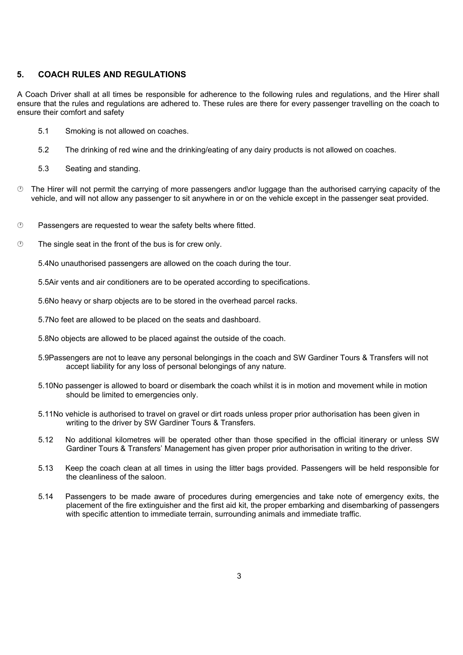# **5. COACH RULES AND REGULATIONS**

A Coach Driver shall at all times be responsible for adherence to the following rules and regulations, and the Hirer shall ensure that the rules and regulations are adhered to. These rules are there for every passenger travelling on the coach to ensure their comfort and safety

- 5.1 Smoking is not allowed on coaches.
- 5.2 The drinking of red wine and the drinking/eating of any dairy products is not allowed on coaches.
- 5.3 Seating and standing.
- $\circled{1}$  The Hirer will not permit the carrying of more passengers and\or luggage than the authorised carrying capacity of the vehicle, and will not allow any passenger to sit anywhere in or on the vehicle except in the passenger seat provided.
- $\heartsuit$  Passengers are requested to wear the safety belts where fitted.
- $\circled{2}$  The single seat in the front of the bus is for crew only.

5.4No unauthorised passengers are allowed on the coach during the tour.

5.5Air vents and air conditioners are to be operated according to specifications.

5.6No heavy or sharp objects are to be stored in the overhead parcel racks.

5.7No feet are allowed to be placed on the seats and dashboard.

- 5.8No objects are allowed to be placed against the outside of the coach.
- 5.9Passengers are not to leave any personal belongings in the coach and SW Gardiner Tours & Transfers will not accept liability for any loss of personal belongings of any nature.
- 5.10No passenger is allowed to board or disembark the coach whilst it is in motion and movement while in motion should be limited to emergencies only.
- 5.11No vehicle is authorised to travel on gravel or dirt roads unless proper prior authorisation has been given in writing to the driver by SW Gardiner Tours & Transfers.
- 5.12 No additional kilometres will be operated other than those specified in the official itinerary or unless SW Gardiner Tours & Transfers' Management has given proper prior authorisation in writing to the driver.
- 5.13 Keep the coach clean at all times in using the litter bags provided. Passengers will be held responsible for the cleanliness of the saloon.
- 5.14 Passengers to be made aware of procedures during emergencies and take note of emergency exits, the placement of the fire extinguisher and the first aid kit, the proper embarking and disembarking of passengers with specific attention to immediate terrain, surrounding animals and immediate traffic.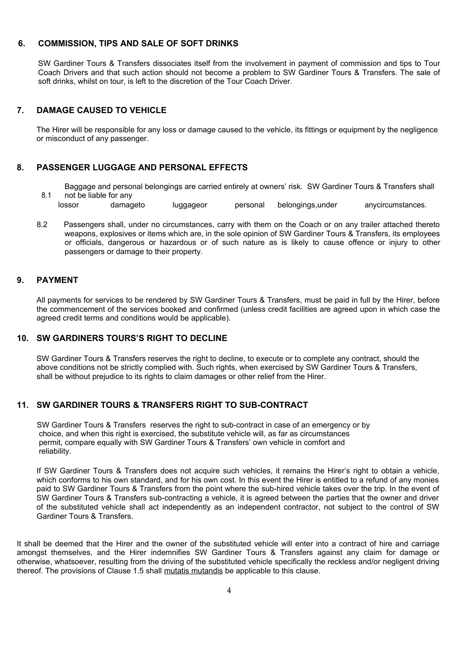# **6. COMMISSION, TIPS AND SALE OF SOFT DRINKS**

SW Gardiner Tours & Transfers dissociates itself from the involvement in payment of commission and tips to Tour Coach Drivers and that such action should not become a problem to SW Gardiner Tours & Transfers. The sale of soft drinks, whilst on tour, is left to the discretion of the Tour Coach Driver.

# **7. DAMAGE CAUSED TO VEHICLE**

The Hirer will be responsible for any loss or damage caused to the vehicle, its fittings or equipment by the negligence or misconduct of any passenger.

# **8. PASSENGER LUGGAGE AND PERSONAL EFFECTS**

Baggage and personal belongings are carried entirely at owners' risk. SW Gardiner Tours & Transfers shall not be liable for any

- lossor damageto luggageor personal belongings,under anycircumstances.
- 8.2 Passengers shall, under no circumstances, carry with them on the Coach or on any trailer attached thereto weapons, explosives or items which are, in the sole opinion of SW Gardiner Tours & Transfers, its employees or officials, dangerous or hazardous or of such nature as is likely to cause offence or injury to other passengers or damage to their property.

# **9. PAYMENT**

8.1

All payments for services to be rendered by SW Gardiner Tours & Transfers, must be paid in full by the Hirer, before the commencement of the services booked and confirmed (unless credit facilities are agreed upon in which case the agreed credit terms and conditions would be applicable).

# **10. SW GARDINERS TOURS'S RIGHT TO DECLINE**

SW Gardiner Tours & Transfers reserves the right to decline, to execute or to complete any contract, should the above conditions not be strictly complied with. Such rights, when exercised by SW Gardiner Tours & Transfers, shall be without prejudice to its rights to claim damages or other relief from the Hirer.

# **11. SW GARDINER TOURS & TRANSFERS RIGHT TO SUB-CONTRACT**

SW Gardiner Tours & Transfers reserves the right to sub-contract in case of an emergency or by choice, and when this right is exercised, the substitute vehicle will, as far as circumstances permit, compare equally with SW Gardiner Tours & Transfers' own vehicle in comfort and reliability.

If SW Gardiner Tours & Transfers does not acquire such vehicles, it remains the Hirer's right to obtain a vehicle, which conforms to his own standard, and for his own cost. In this event the Hirer is entitled to a refund of any monies paid to SW Gardiner Tours & Transfers from the point where the sub-hired vehicle takes over the trip. In the event of SW Gardiner Tours & Transfers sub-contracting a vehicle, it is agreed between the parties that the owner and driver of the substituted vehicle shall act independently as an independent contractor, not subject to the control of SW Gardiner Tours & Transfers.

It shall be deemed that the Hirer and the owner of the substituted vehicle will enter into a contract of hire and carriage amongst themselves, and the Hirer indemnifies SW Gardiner Tours & Transfers against any claim for damage or otherwise, whatsoever, resulting from the driving of the substituted vehicle specifically the reckless and/or negligent driving thereof. The provisions of Clause 1.5 shall mutatis mutandis be applicable to this clause.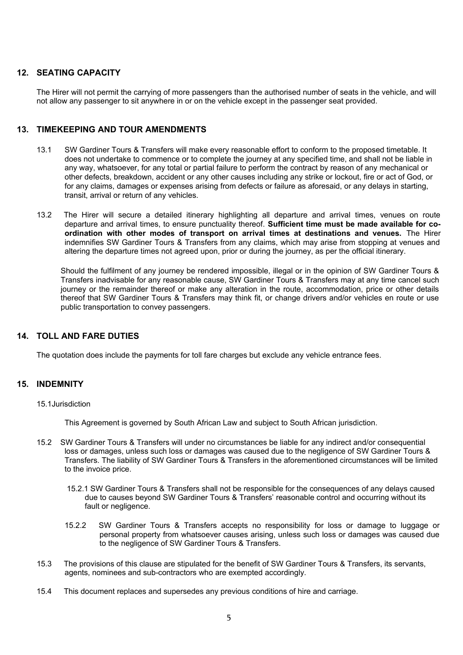# **12. SEATING CAPACITY**

The Hirer will not permit the carrying of more passengers than the authorised number of seats in the vehicle, and will not allow any passenger to sit anywhere in or on the vehicle except in the passenger seat provided.

# **13. TIMEKEEPING AND TOUR AMENDMENTS**

- 13.1 SW Gardiner Tours & Transfers will make every reasonable effort to conform to the proposed timetable. It does not undertake to commence or to complete the journey at any specified time, and shall not be liable in any way, whatsoever, for any total or partial failure to perform the contract by reason of any mechanical or other defects, breakdown, accident or any other causes including any strike or lockout, fire or act of God, or for any claims, damages or expenses arising from defects or failure as aforesaid, or any delays in starting, transit, arrival or return of any vehicles.
- 13.2 The Hirer will secure a detailed itinerary highlighting all departure and arrival times, venues on route departure and arrival times, to ensure punctuality thereof. **Sufficient time must be made available for coordination with other modes of transport on arrival times at destinations and venues.** The Hirer indemnifies SW Gardiner Tours & Transfers from any claims, which may arise from stopping at venues and altering the departure times not agreed upon, prior or during the journey, as per the official itinerary.

Should the fulfilment of any journey be rendered impossible, illegal or in the opinion of SW Gardiner Tours & Transfers inadvisable for any reasonable cause, SW Gardiner Tours & Transfers may at any time cancel such journey or the remainder thereof or make any alteration in the route, accommodation, price or other details thereof that SW Gardiner Tours & Transfers may think fit, or change drivers and/or vehicles en route or use public transportation to convey passengers.

# **14. TOLL AND FARE DUTIES**

The quotation does include the payments for toll fare charges but exclude any vehicle entrance fees.

# **15. INDEMNITY**

#### 15.1Jurisdiction

This Agreement is governed by South African Law and subject to South African jurisdiction.

- 15.2 SW Gardiner Tours & Transfers will under no circumstances be liable for any indirect and/or consequential loss or damages, unless such loss or damages was caused due to the negligence of SW Gardiner Tours & Transfers. The liability of SW Gardiner Tours & Transfers in the aforementioned circumstances will be limited to the invoice price.
	- 15.2.1 SW Gardiner Tours & Transfers shall not be responsible for the consequences of any delays caused due to causes beyond SW Gardiner Tours & Transfers' reasonable control and occurring without its fault or negligence.
	- 15.2.2 SW Gardiner Tours & Transfers accepts no responsibility for loss or damage to luggage or personal property from whatsoever causes arising, unless such loss or damages was caused due to the negligence of SW Gardiner Tours & Transfers.
- 15.3 The provisions of this clause are stipulated for the benefit of SW Gardiner Tours & Transfers, its servants, agents, nominees and sub-contractors who are exempted accordingly.
- 15.4 This document replaces and supersedes any previous conditions of hire and carriage.